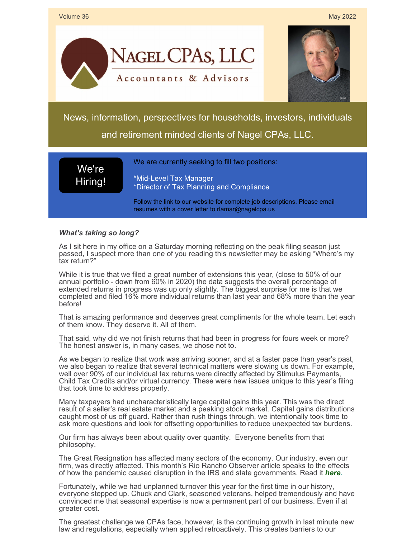

## *What's taking so long?*

As I sit here in my office on a Saturday morning reflecting on the peak filing season just passed, I suspect more than one of you reading this newsletter may be asking "Where's my tax return?"

While it is true that we filed a great number of extensions this year, (close to 50% of our annual portfolio - down from 60% in 2020) the data suggests the overall percentage of extended returns in progress was up only slightly. The biggest surprise for me is that we completed and filed 16% more individual returns than last year and 68% more than the year before!

That is amazing performance and deserves great compliments for the whole team. Let each of them know. They deserve it. All of them.

That said, why did we not finish returns that had been in progress for fours week or more? The honest answer is, in many cases, we chose not to.

As we began to realize that work was arriving sooner, and at a faster pace than year's past, we also began to realize that several technical matters were slowing us down. For example, well over 90% of our individual tax returns were directly affected by Stimulus Payments, Child Tax Credits and/or virtual currency. These were new issues unique to this year's filing that took time to address properly.

Many taxpayers had uncharacteristically large capital gains this year. This was the direct result of a seller's real estate market and a peaking stock market. Capital gains distributions caught most of us off guard. Rather than rush things through, we intentionally took time to ask more questions and look for offsetting opportunities to reduce unexpected tax burdens.

Our firm has always been about quality over quantity. Everyone benefits from that philosophy.

The Great Resignation has affected many sectors of the economy. Our industry, even our firm, was directly affected. This month's Rio Rancho Observer article speaks to the effects of how the pandemic caused disruption in the IRS and state governments. Read it *[here.](https://files.constantcontact.com/ad36e42d701/48f3938a-6b3d-420f-949c-6aed42de925b.pdf?rdr=true)*

Fortunately, while we had unplanned turnover this year for the first time in our history, everyone stepped up. Chuck and Clark, seasoned veterans, helped tremendously and have convinced me that seasonal expertise is now a permanent part of our business. Even if at greater cost.

The greatest challenge we CPAs face, however, is the continuing growth in last minute new law and regulations, especially when applied retroactively. This creates barriers to our